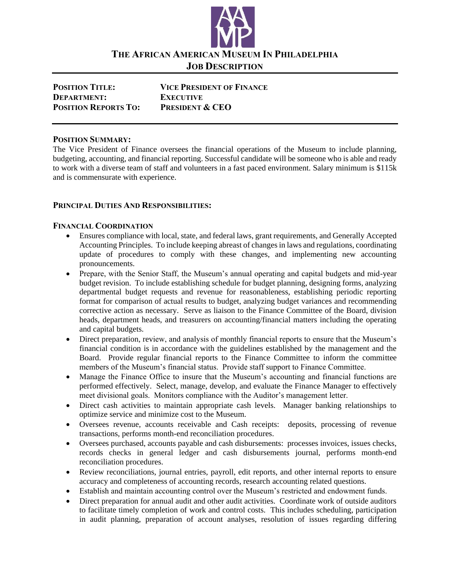

**THE AFRICAN AMERICAN MUSEUM IN PHILADELPHIA JOB DESCRIPTION**

| <b>POSITION TITLE:</b>      | <b>VICE PRESIDENT OF FINANCE</b> |
|-----------------------------|----------------------------------|
| <b>DEPARTMENT:</b>          | <b>EXECUTIVE</b>                 |
| <b>POSITION REPORTS TO:</b> | <b>PRESIDENT &amp; CEO</b>       |

#### **POSITION SUMMARY:**

The Vice President of Finance oversees the financial operations of the Museum to include planning, budgeting, accounting, and financial reporting. Successful candidate will be someone who is able and ready to work with a diverse team of staff and volunteers in a fast paced environment. Salary minimum is \$115k and is commensurate with experience.

#### **PRINCIPAL DUTIES AND RESPONSIBILITIES:**

#### **FINANCIAL COORDINATION**

- Ensures compliance with local, state, and federal laws, grant requirements, and Generally Accepted Accounting Principles. To include keeping abreast of changes in laws and regulations, coordinating update of procedures to comply with these changes, and implementing new accounting pronouncements.
- Prepare, with the Senior Staff, the Museum's annual operating and capital budgets and mid-year budget revision. To include establishing schedule for budget planning, designing forms, analyzing departmental budget requests and revenue for reasonableness, establishing periodic reporting format for comparison of actual results to budget, analyzing budget variances and recommending corrective action as necessary. Serve as liaison to the Finance Committee of the Board, division heads, department heads, and treasurers on accounting/financial matters including the operating and capital budgets.
- Direct preparation, review, and analysis of monthly financial reports to ensure that the Museum's financial condition is in accordance with the guidelines established by the management and the Board. Provide regular financial reports to the Finance Committee to inform the committee members of the Museum's financial status. Provide staff support to Finance Committee.
- Manage the Finance Office to insure that the Museum's accounting and financial functions are performed effectively. Select, manage, develop, and evaluate the Finance Manager to effectively meet divisional goals. Monitors compliance with the Auditor's management letter.
- Direct cash activities to maintain appropriate cash levels. Manager banking relationships to optimize service and minimize cost to the Museum.
- Oversees revenue, accounts receivable and Cash receipts: deposits, processing of revenue transactions, performs month-end reconciliation procedures.
- Oversees purchased, accounts payable and cash disbursements: processes invoices, issues checks, records checks in general ledger and cash disbursements journal, performs month-end reconciliation procedures.
- Review reconciliations, journal entries, payroll, edit reports, and other internal reports to ensure accuracy and completeness of accounting records, research accounting related questions.
- Establish and maintain accounting control over the Museum's restricted and endowment funds.
- Direct preparation for annual audit and other audit activities. Coordinate work of outside auditors to facilitate timely completion of work and control costs. This includes scheduling, participation in audit planning, preparation of account analyses, resolution of issues regarding differing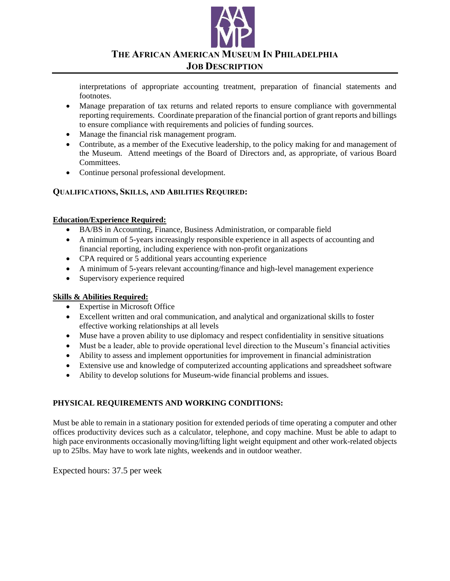

#### **THE AFRICAN AMERICAN MUSEUM IN PHILADELPHIA**

#### **JOB DESCRIPTION**

interpretations of appropriate accounting treatment, preparation of financial statements and footnotes.

- Manage preparation of tax returns and related reports to ensure compliance with governmental reporting requirements. Coordinate preparation of the financial portion of grant reports and billings to ensure compliance with requirements and policies of funding sources.
- Manage the financial risk management program.
- Contribute, as a member of the Executive leadership, to the policy making for and management of the Museum. Attend meetings of the Board of Directors and, as appropriate, of various Board Committees.
- Continue personal professional development.

# **QUALIFICATIONS, SKILLS, AND ABILITIES REQUIRED:**

#### **Education/Experience Required:**

- BA/BS in Accounting, Finance, Business Administration, or comparable field
- A minimum of 5-years increasingly responsible experience in all aspects of accounting and financial reporting, including experience with non-profit organizations
- CPA required or 5 additional years accounting experience
- A minimum of 5-years relevant accounting/finance and high-level management experience
- Supervisory experience required

#### **Skills & Abilities Required:**

- Expertise in Microsoft Office
- Excellent written and oral communication, and analytical and organizational skills to foster effective working relationships at all levels
- Muse have a proven ability to use diplomacy and respect confidentiality in sensitive situations
- Must be a leader, able to provide operational level direction to the Museum's financial activities
- Ability to assess and implement opportunities for improvement in financial administration
- Extensive use and knowledge of computerized accounting applications and spreadsheet software
- Ability to develop solutions for Museum-wide financial problems and issues.

# **PHYSICAL REQUIREMENTS AND WORKING CONDITIONS:**

Must be able to remain in a stationary position for extended periods of time operating a computer and other offices productivity devices such as a calculator, telephone, and copy machine. Must be able to adapt to high pace environments occasionally moving/lifting light weight equipment and other work-related objects up to 25lbs. May have to work late nights, weekends and in outdoor weather.

Expected hours: 37.5 per week